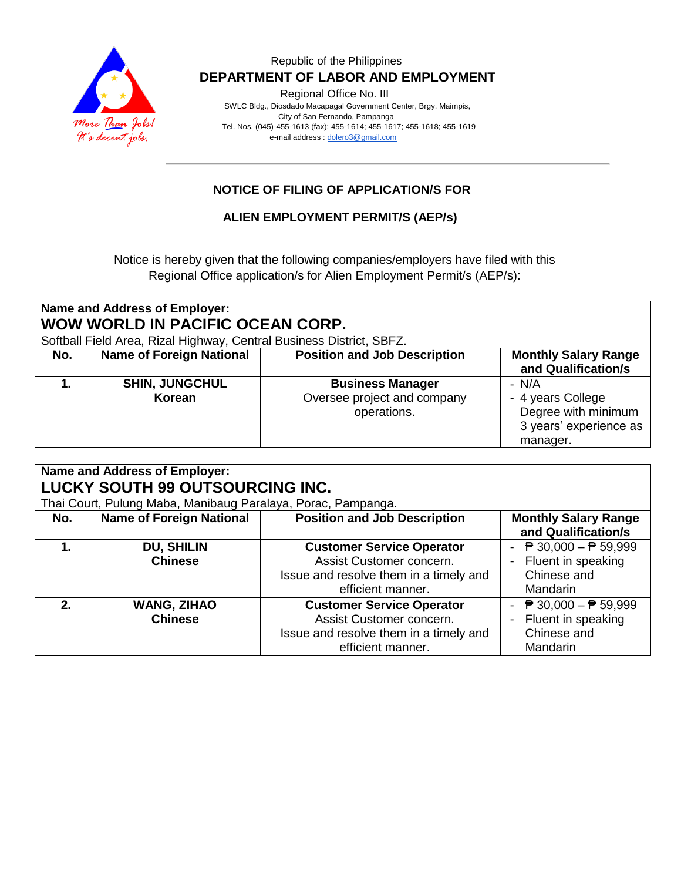

#### Republic of the Philippines  **DEPARTMENT OF LABOR AND EMPLOYMENT**

Regional Office No. III

 SWLC Bldg., Diosdado Macapagal Government Center, Brgy. Maimpis, City of San Fernando, Pampanga Tel. Nos. (045)-455-1613 (fax): 455-1614; 455-1617; 455-1618; 455-1619 e-mail address [: dolero3@gmail.com](mailto:dolero3@gmail.com)

### **NOTICE OF FILING OF APPLICATION/S FOR**

### **ALIEN EMPLOYMENT PERMIT/S (AEP/s)**

Notice is hereby given that the following companies/employers have filed with this Regional Office application/s for Alien Employment Permit/s (AEP/s):

| <b>Name and Address of Employer:</b><br>WOW WORLD IN PACIFIC OCEAN CORP.<br>Softball Field Area, Rizal Highway, Central Business District, SBFZ. |                                 |                                                                       |                                                                                         |  |  |  |
|--------------------------------------------------------------------------------------------------------------------------------------------------|---------------------------------|-----------------------------------------------------------------------|-----------------------------------------------------------------------------------------|--|--|--|
| No.                                                                                                                                              | <b>Name of Foreign National</b> | <b>Position and Job Description</b>                                   | <b>Monthly Salary Range</b><br>and Qualification/s                                      |  |  |  |
|                                                                                                                                                  | <b>SHIN, JUNGCHUL</b><br>Korean | <b>Business Manager</b><br>Oversee project and company<br>operations. | - N/A<br>- 4 years College<br>Degree with minimum<br>3 years' experience as<br>manager. |  |  |  |

| Name and Address of Employer:                                |                                 |                                        |                                                 |  |  |  |  |
|--------------------------------------------------------------|---------------------------------|----------------------------------------|-------------------------------------------------|--|--|--|--|
| LUCKY SOUTH 99 OUTSOURCING INC.                              |                                 |                                        |                                                 |  |  |  |  |
| Thai Court, Pulung Maba, Manibaug Paralaya, Porac, Pampanga. |                                 |                                        |                                                 |  |  |  |  |
| No.                                                          | <b>Name of Foreign National</b> | <b>Position and Job Description</b>    | <b>Monthly Salary Range</b>                     |  |  |  |  |
|                                                              |                                 |                                        | and Qualification/s                             |  |  |  |  |
|                                                              | <b>DU, SHILIN</b>               | <b>Customer Service Operator</b>       | - $\overline{P}$ 30,000 - $\overline{P}$ 59,999 |  |  |  |  |
|                                                              | <b>Chinese</b>                  | Assist Customer concern.               | - Fluent in speaking                            |  |  |  |  |
|                                                              |                                 | Issue and resolve them in a timely and | Chinese and                                     |  |  |  |  |
|                                                              |                                 | efficient manner.                      | Mandarin                                        |  |  |  |  |
| 2.                                                           | <b>WANG, ZIHAO</b>              | <b>Customer Service Operator</b>       | - $\overline{P}$ 30,000 - $\overline{P}$ 59,999 |  |  |  |  |
|                                                              | <b>Chinese</b>                  | Assist Customer concern.               | Fluent in speaking                              |  |  |  |  |
|                                                              |                                 | Issue and resolve them in a timely and | Chinese and                                     |  |  |  |  |
|                                                              |                                 | efficient manner.                      | Mandarin                                        |  |  |  |  |